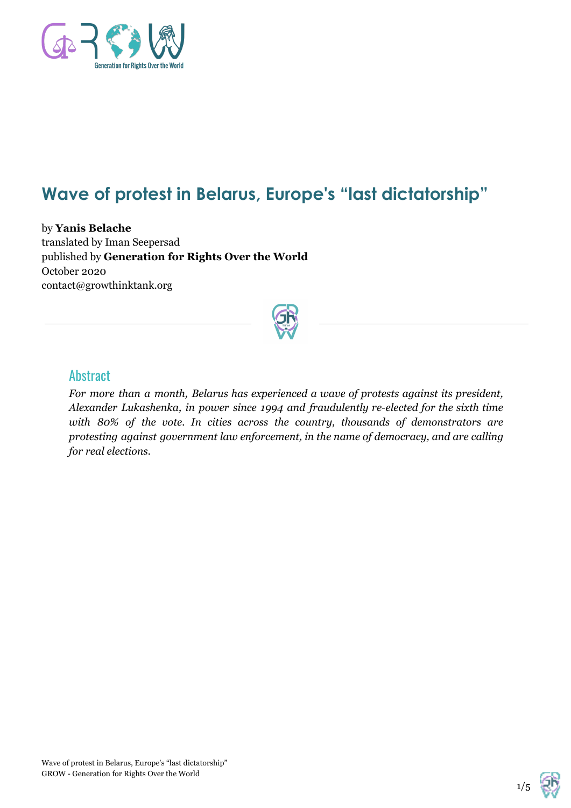

## **Wave of protest in Belarus, Europe's "last dictatorship"**

by **Yanis Belache** translated by Iman Seepersad published by **Generation for Rights Over the World** October 2020 contact@growthinktank.org



## **Abstract**

*For more than a month, Belarus has experienced a wave of protests against its president, Alexander Lukashenka, in power since 1994 and fraudulently re-elected for the sixth time with 80% of the vote. In cities across the country, thousands of demonstrators are protesting against government law enforcement, in the name of democracy, and are calling for real elections.*

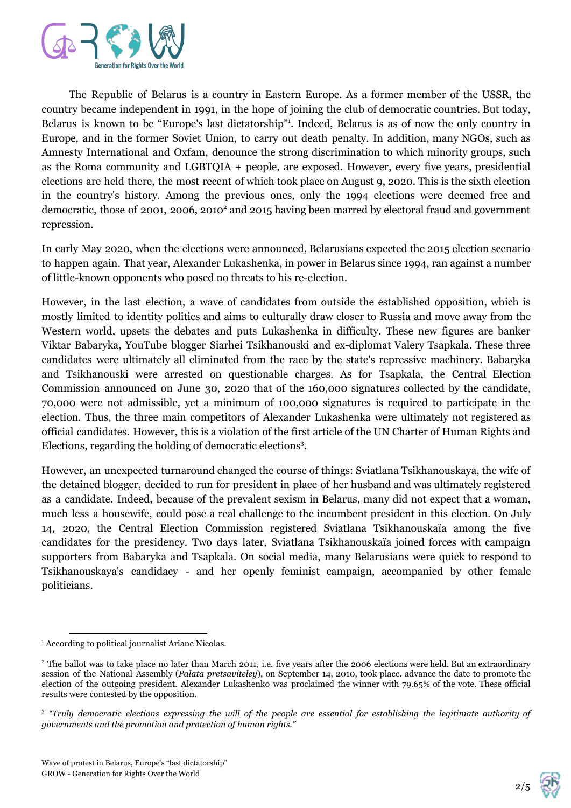

The Republic of Belarus is a country in Eastern Europe. As a former member of the USSR, the country became independent in 1991, in the hope of joining the club of democratic countries. But today, Belarus is known to be "Europe's last dictatorship". Indeed, Belarus is as of now the only country in Europe, and in the former Soviet Union, to carry out death penalty. In addition, many NGOs, such as Amnesty International and Oxfam, denounce the strong discrimination to which minority groups, such as the Roma community and LGBTQIA + people, are exposed. However, every five years, presidential elections are held there, the most recent of which took place on August 9, 2020. This is the sixth election in the country's history. Among the previous ones, only the 1994 elections were deemed free and democratic, those of 2001, 2006, 2010<sup>2</sup> and 2015 having been marred by electoral fraud and government repression.

In early May 2020, when the elections were announced, Belarusians expected the 2015 election scenario to happen again. That year, Alexander Lukashenka, in power in Belarus since 1994, ran against a number of little-known opponents who posed no threats to his re-election.

However, in the last election, a wave of candidates from outside the established opposition, which is mostly limited to identity politics and aims to culturally draw closer to Russia and move away from the Western world, upsets the debates and puts Lukashenka in difficulty. These new figures are banker Viktar Babaryka, YouTube blogger Siarhei Tsikhanouski and ex-diplomat Valery Tsapkala. These three candidates were ultimately all eliminated from the race by the state's repressive machinery. Babaryka and Tsikhanouski were arrested on questionable charges. As for Tsapkala, the Central Election Commission announced on June 30, 2020 that of the 160,000 signatures collected by the candidate, 70,000 were not admissible, yet a minimum of 100,000 signatures is required to participate in the election. Thus, the three main competitors of Alexander Lukashenka were ultimately not registered as official candidates. However, this is a violation of the first article of the UN Charter of Human Rights and Elections, regarding the holding of democratic elections<sup>3</sup>.

However, an unexpected turnaround changed the course of things: Sviatlana Tsikhanouskaya, the wife of the detained blogger, decided to run for president in place of her husband and was ultimately registered as a candidate. Indeed, because of the prevalent sexism in Belarus, many did not expect that a woman, much less a housewife, could pose a real challenge to the incumbent president in this election. On July 14, 2020, the Central Election Commission registered Sviatlana Tsikhanouskaïa among the five candidates for the presidency. Two days later, Sviatlana Tsikhanouskaïa joined forces with campaign supporters from Babaryka and Tsapkala. On social media, many Belarusians were quick to respond to Tsikhanouskaya's candidacy - and her openly feminist campaign, accompanied by other female politicians.

2/5

<sup>&</sup>lt;sup>1</sup> According to political journalist Ariane Nicolas.

<sup>&</sup>lt;sup>2</sup> The ballot was to take place no later than March 2011, i.e. five years after the 2006 elections were held. But an extraordinary session of the National Assembly (*Palata pretsaviteley*), on September 14, 2010, took place. advance the date to promote the election of the outgoing president. Alexander Lukashenko was proclaimed the winner with 79.65% of the vote. These official results were contested by the opposition.

<sup>&</sup>lt;sup>3</sup> "Truly democratic elections expressing the will of the people are essential for establishing the legitimate authority of *governments and the promotion and protection of human rights."*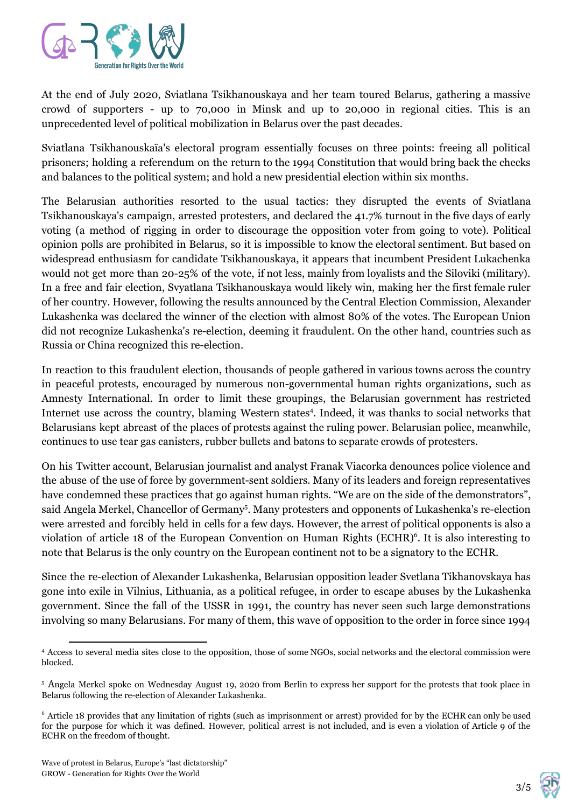

At the end of July 2020, Sviatlana Tsikhanouskaya and her team toured Belarus, gathering a massive crowd of supporters - up to 70,000 in Minsk and up to 20,000 in regional cities. This is an unprecedented level of political mobilization in Belarus over the past decades.

Sviatlana Tsikhanouskaïa's electoral program essentially focuses on three points: freeing all political prisoners; holding a referendum on the return to the 1994 Constitution that would bring back the checks and balances to the political system; and hold a new presidential election within six months.

The Belarusian authorities resorted to the usual tactics: they disrupted the events of Sviatlana Tsikhanouskaya's campaign, arrested protesters, and declared the 41.7% turnout in the five days of early voting (a method of rigging in order to discourage the opposition voter from going to vote). Political opinion polls are prohibited in Belarus, so it is impossible to know the electoral sentiment. But based on widespread enthusiasm for candidate Tsikhanouskaya, it appears that incumbent President Lukachenka would not get more than 20-25% of the vote, if not less, mainly from loyalists and the Siloviki (military). In a free and fair election, Svyatlana Tsikhanouskaya would likely win, making her the first female ruler of her country. However, following the results announced by the Central Election Commission, Alexander Lukashenka was declared the winner of the election with almost 80% of the votes. The European Union did not recognize Lukashenka's re-election, deeming it fraudulent. On the other hand, countries such as Russia or China recognized this re-election.

In reaction to this fraudulent election, thousands of people gathered in various towns across the country in peaceful protests, encouraged by numerous non-governmental human rights organizations, such as Amnesty International. In order to limit these groupings, the Belarusian government has restricted Internet use across the country, blaming Western states<sup>4</sup>. Indeed, it was thanks to social networks that Belarusians kept abreast of the places of protests against the ruling power. Belarusian police, meanwhile, continues to use tear gas canisters, rubber bullets and batons to separate crowds of protesters.

On his Twitter account, Belarusian journalist and analyst Franak Viacorka denounces police violence and the abuse of the use of force by government-sent soldiers. Many of its leaders and foreign representatives have condemned these practices that go against human rights. "We are on the side of the demonstrators", said Angela Merkel, Chancellor of Germany<sup>5</sup>. Many protesters and opponents of Lukashenka's re-election were arrested and forcibly held in cells for a few days. However, the arrest of political opponents is also a violation of article 18 of the European Convention on Human Rights (ECHR)<sup>6</sup>. It is also interesting to note that Belarus is the only country on the European continent not to be a signatory to the ECHR.

Since the re-election of Alexander Lukashenka, Belarusian opposition leader Svetlana Tikhanovskaya has gone into exile in Vilnius, Lithuania, as a political refugee, in order to escape abuses by the Lukashenka government. Since the fall of the USSR in 1991, the country has never seen such large demonstrations involving so many Belarusians. For many of them, this wave of opposition to the order in force since 1994



<sup>4</sup> Access to several media sites close to the opposition, those of some NGOs, social networks and the electoral commission were blocked.

<sup>5</sup> Angela Merkel spoke on Wednesday August 19, 2020 from Berlin to express her support for the protests that took place in Belarus following the re-election of Alexander Lukashenka.

<sup>6</sup> Article 18 provides that any limitation of rights (such as imprisonment or arrest) provided for by the ECHR can only be used for the purpose for which it was defined. However, political arrest is not included, and is even a violation of Article 9 of the ECHR on the freedom of thought.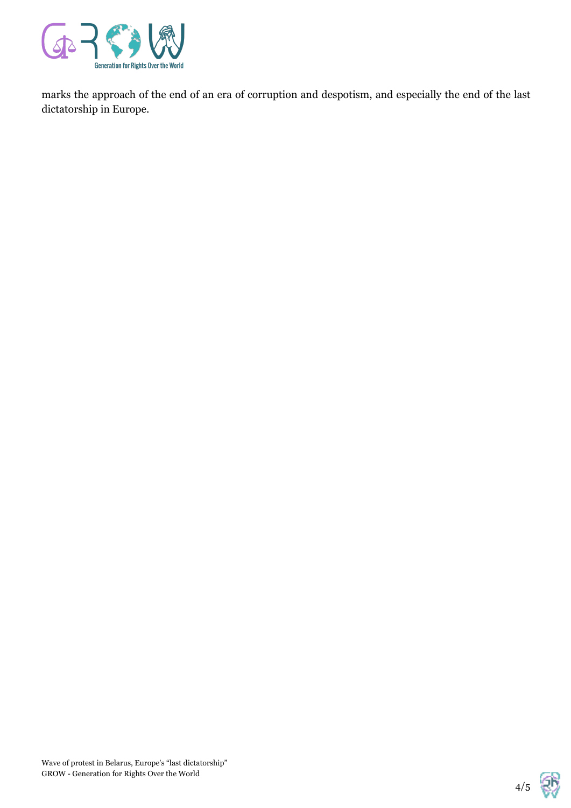

marks the approach of the end of an era of corruption and despotism, and especially the end of the last dictatorship in Europe.